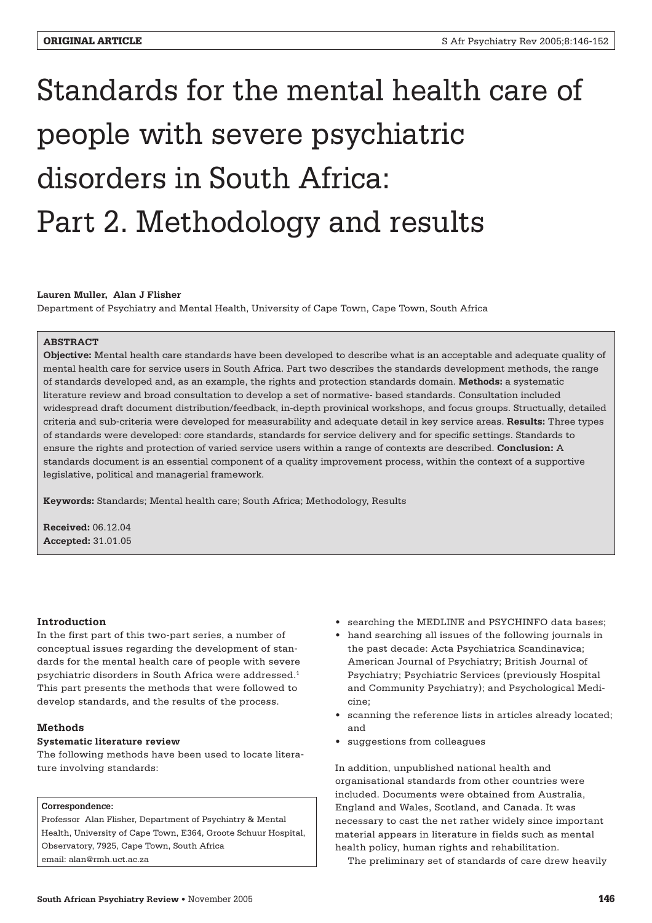# Standards for the mental health care of people with severe psychiatric disorders in South Africa: Part 2. Methodology and results

# **Lauren Muller, Alan J Flisher**

Department of Psychiatry and Mental Health, University of Cape Town, Cape Town, South Africa

# **ABSTRACT**

**Objective:** Mental health care standards have been developed to describe what is an acceptable and adequate quality of mental health care for service users in South Africa. Part two describes the standards development methods, the range of standards developed and, as an example, the rights and protection standards domain. **Methods:** a systematic literature review and broad consultation to develop a set of normative- based standards. Consultation included widespread draft document distribution/feedback, in-depth provinical workshops, and focus groups. Structually, detailed criteria and sub-criteria were developed for measurability and adequate detail in key service areas. **Results:** Three types of standards were developed: core standards, standards for service delivery and for specific settings. Standards to ensure the rights and protection of varied service users within a range of contexts are described. **Conclusion:** A standards document is an essential component of a quality improvement process, within the context of a supportive legislative, political and managerial framework.

**Keywords:** Standards; Mental health care; South Africa; Methodology, Results

**Received:** 06.12.04 **Accepted:** 31.01.05

# **Introduction**

In the first part of this two-part series, a number of conceptual issues regarding the development of standards for the mental health care of people with severe psychiatric disorders in South Africa were addressed.1 This part presents the methods that were followed to develop standards, and the results of the process.

# **Methods**

# **Systematic literature review**

The following methods have been used to locate literature involving standards:

# **Correspondence:**

Professor Alan Flisher, Department of Psychiatry & Mental Health, University of Cape Town, E364, Groote Schuur Hospital, Observatory, 7925, Cape Town, South Africa email: alan@rmh.uct.ac.za

- searching the MEDLINE and PSYCHINFO data bases;
- hand searching all issues of the following journals in the past decade: Acta Psychiatrica Scandinavica; American Journal of Psychiatry; British Journal of Psychiatry; Psychiatric Services (previously Hospital and Community Psychiatry); and Psychological Medicine;
- scanning the reference lists in articles already located; and
- suggestions from colleagues

In addition, unpublished national health and organisational standards from other countries were included. Documents were obtained from Australia, England and Wales, Scotland, and Canada. It was necessary to cast the net rather widely since important material appears in literature in fields such as mental health policy, human rights and rehabilitation.

The preliminary set of standards of care drew heavily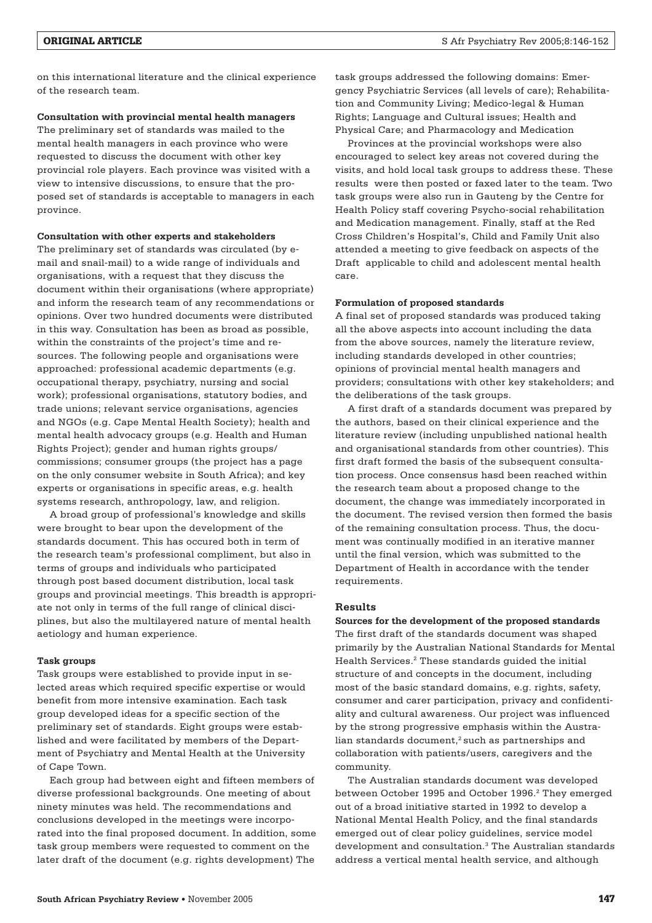on this international literature and the clinical experience of the research team.

# **Consultation with provincial mental health managers**

The preliminary set of standards was mailed to the mental health managers in each province who were requested to discuss the document with other key provincial role players. Each province was visited with a view to intensive discussions, to ensure that the proposed set of standards is acceptable to managers in each province.

# **Consultation with other experts and stakeholders**

The preliminary set of standards was circulated (by email and snail-mail) to a wide range of individuals and organisations, with a request that they discuss the document within their organisations (where appropriate) and inform the research team of any recommendations or opinions. Over two hundred documents were distributed in this way. Consultation has been as broad as possible, within the constraints of the project's time and resources. The following people and organisations were approached: professional academic departments (e.g. occupational therapy, psychiatry, nursing and social work); professional organisations, statutory bodies, and trade unions; relevant service organisations, agencies and NGOs (e.g. Cape Mental Health Society); health and mental health advocacy groups (e.g. Health and Human Rights Project); gender and human rights groups/ commissions; consumer groups (the project has a page on the only consumer website in South Africa); and key experts or organisations in specific areas, e.g. health systems research, anthropology, law, and religion.

A broad group of professional's knowledge and skills were brought to bear upon the development of the standards document. This has occured both in term of the research team's professional compliment, but also in terms of groups and individuals who participated through post based document distribution, local task groups and provincial meetings. This breadth is appropriate not only in terms of the full range of clinical disciplines, but also the multilayered nature of mental health aetiology and human experience.

## **Task groups**

Task groups were established to provide input in selected areas which required specific expertise or would benefit from more intensive examination. Each task group developed ideas for a specific section of the preliminary set of standards. Eight groups were established and were facilitated by members of the Department of Psychiatry and Mental Health at the University of Cape Town.

Each group had between eight and fifteen members of diverse professional backgrounds. One meeting of about ninety minutes was held. The recommendations and conclusions developed in the meetings were incorporated into the final proposed document. In addition, some task group members were requested to comment on the later draft of the document (e.g. rights development) The

Provinces at the provincial workshops were also encouraged to select key areas not covered during the visits, and hold local task groups to address these. These results were then posted or faxed later to the team. Two task groups were also run in Gauteng by the Centre for Health Policy staff covering Psycho-social rehabilitation and Medication management. Finally, staff at the Red Cross Children's Hospital's, Child and Family Unit also attended a meeting to give feedback on aspects of the Draft applicable to child and adolescent mental health care.

# **Formulation of proposed standards**

A final set of proposed standards was produced taking all the above aspects into account including the data from the above sources, namely the literature review, including standards developed in other countries; opinions of provincial mental health managers and providers; consultations with other key stakeholders; and the deliberations of the task groups.

A first draft of a standards document was prepared by the authors, based on their clinical experience and the literature review (including unpublished national health and organisational standards from other countries). This first draft formed the basis of the subsequent consultation process. Once consensus hasd been reached within the research team about a proposed change to the document, the change was immediately incorporated in the document. The revised version then formed the basis of the remaining consultation process. Thus, the document was continually modified in an iterative manner until the final version, which was submitted to the Department of Health in accordance with the tender requirements.

# **Results**

## **Sources for the development of the proposed standards**

The first draft of the standards document was shaped primarily by the Australian National Standards for Mental Health Services.2 These standards guided the initial structure of and concepts in the document, including most of the basic standard domains, e.g. rights, safety, consumer and carer participation, privacy and confidentiality and cultural awareness. Our project was influenced by the strong progressive emphasis within the Australian standards document,<sup>2</sup> such as partnerships and collaboration with patients/users, caregivers and the community.

The Australian standards document was developed between October 1995 and October 1996. $^{\rm 2}$  They emerged out of a broad initiative started in 1992 to develop a National Mental Health Policy, and the final standards emerged out of clear policy guidelines, service model development and consultation.3 The Australian standards address a vertical mental health service, and although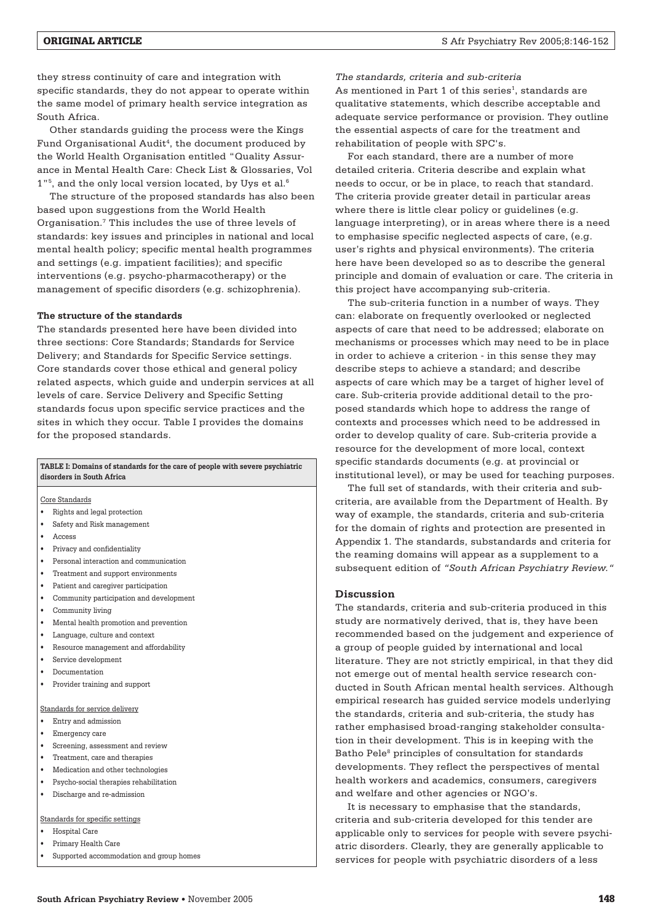they stress continuity of care and integration with specific standards, they do not appear to operate within the same model of primary health service integration as South Africa.

Other standards guiding the process were the Kings Fund Organisational Audit<sup>4</sup>, the document produced by the World Health Organisation entitled "Quality Assurance in Mental Health Care: Check List & Glossaries, Vol 1"<sup>5</sup>, and the only local version located, by Uys et al.<sup>6</sup>

The structure of the proposed standards has also been based upon suggestions from the World Health Organisation.7 This includes the use of three levels of standards: key issues and principles in national and local mental health policy; specific mental health programmes and settings (e.g. impatient facilities); and specific interventions (e.g. psycho-pharmacotherapy) or the management of specific disorders (e.g. schizophrenia).

# **The structure of the standards**

The standards presented here have been divided into three sections: Core Standards; Standards for Service Delivery; and Standards for Specific Service settings. Core standards cover those ethical and general policy related aspects, which guide and underpin services at all levels of care. Service Delivery and Specific Setting standards focus upon specific service practices and the sites in which they occur. Table I provides the domains for the proposed standards.

**TABLE I: Domains of standards for the care of people with severe psychiatric disorders in South Africa**

## Core Standards

- Rights and legal protection
- Safety and Risk management
- Access
- Privacy and confidentiality
- Personal interaction and communication
- Treatment and support environments
- Patient and caregiver participation
- Community participation and development
- Community living
- Mental health promotion and prevention
- Language, culture and context
- Resource management and affordability
- Service development
- Documentation
- Provider training and support

Standards for service delivery

- Entry and admission
- Emergency care
- Screening, assessment and review
- Treatment, care and therapies
- Medication and other technologies
- Psycho-social therapies rehabilitation
- Discharge and re-admission

# Standards for specific settings

- Hospital Care
- Primary Health Care
- Supported accommodation and group homes

*The standards, criteria and sub-criteria* As mentioned in Part 1 of this series<sup>1</sup>, standards are qualitative statements, which describe acceptable and adequate service performance or provision. They outline the essential aspects of care for the treatment and rehabilitation of people with SPC's.

For each standard, there are a number of more detailed criteria. Criteria describe and explain what needs to occur, or be in place, to reach that standard. The criteria provide greater detail in particular areas where there is little clear policy or guidelines (e.g. language interpreting), or in areas where there is a need to emphasise specific neglected aspects of care, (e.g. user's rights and physical environments). The criteria here have been developed so as to describe the general principle and domain of evaluation or care. The criteria in this project have accompanying sub-criteria.

The sub-criteria function in a number of ways. They can: elaborate on frequently overlooked or neglected aspects of care that need to be addressed; elaborate on mechanisms or processes which may need to be in place in order to achieve a criterion - in this sense they may describe steps to achieve a standard; and describe aspects of care which may be a target of higher level of care. Sub-criteria provide additional detail to the proposed standards which hope to address the range of contexts and processes which need to be addressed in order to develop quality of care. Sub-criteria provide a resource for the development of more local, context specific standards documents (e.g. at provincial or institutional level), or may be used for teaching purposes.

The full set of standards, with their criteria and subcriteria, are available from the Department of Health. By way of example, the standards, criteria and sub-criteria for the domain of rights and protection are presented in Appendix 1. The standards, substandards and criteria for the reaming domains will appear as a supplement to a subsequent edition of *"South African Psychiatry Review."*

# **Discussion**

The standards, criteria and sub-criteria produced in this study are normatively derived, that is, they have been recommended based on the judgement and experience of a group of people guided by international and local literature. They are not strictly empirical, in that they did not emerge out of mental health service research conducted in South African mental health services. Although empirical research has guided service models underlying the standards, criteria and sub-criteria, the study has rather emphasised broad-ranging stakeholder consultation in their development. This is in keeping with the Batho Pele<sup>8</sup> principles of consultation for standards developments. They reflect the perspectives of mental health workers and academics, consumers, caregivers and welfare and other agencies or NGO's.

It is necessary to emphasise that the standards, criteria and sub-criteria developed for this tender are applicable only to services for people with severe psychiatric disorders. Clearly, they are generally applicable to services for people with psychiatric disorders of a less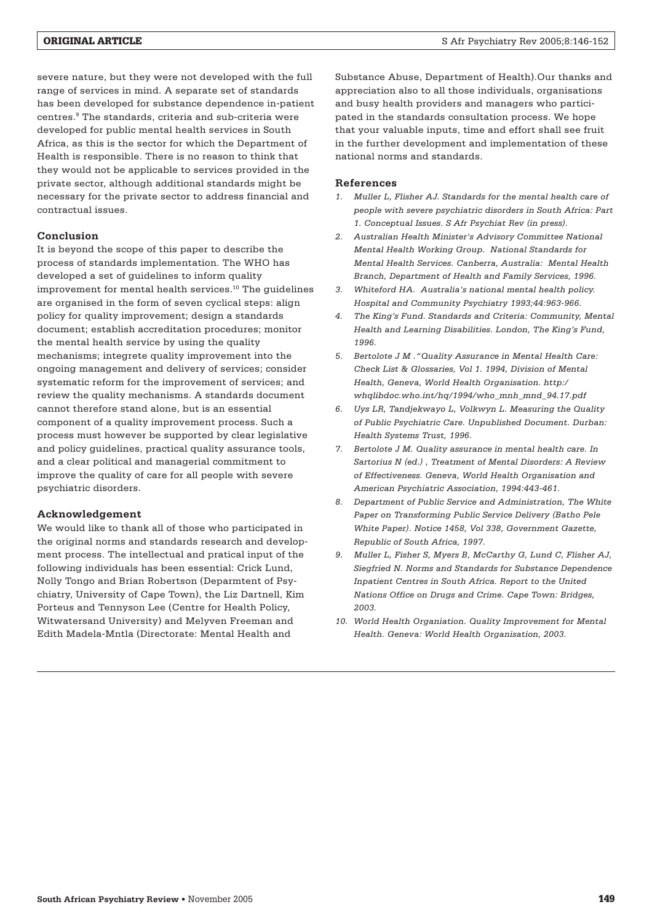severe nature, but they were not developed with the full range of services in mind. A separate set of standards has been developed for substance dependence in-patient centres.9 The standards, criteria and sub-criteria were developed for public mental health services in South Africa, as this is the sector for which the Department of Health is responsible. There is no reason to think that they would not be applicable to services provided in the private sector, although additional standards might be necessary for the private sector to address financial and contractual issues.

# **Conclusion**

It is beyond the scope of this paper to describe the process of standards implementation. The WHO has developed a set of guidelines to inform quality improvement for mental health services.<sup>10</sup> The quidelines are organised in the form of seven cyclical steps: align policy for quality improvement; design a standards document; establish accreditation procedures; monitor the mental health service by using the quality mechanisms; integrete quality improvement into the ongoing management and delivery of services; consider systematic reform for the improvement of services; and review the quality mechanisms. A standards document cannot therefore stand alone, but is an essential component of a quality improvement process. Such a process must however be supported by clear legislative and policy guidelines, practical quality assurance tools, and a clear political and managerial commitment to improve the quality of care for all people with severe psychiatric disorders.

# **Acknowledgement**

We would like to thank all of those who participated in the original norms and standards research and development process. The intellectual and pratical input of the following individuals has been essential: Crick Lund, Nolly Tongo and Brian Robertson (Deparmtent of Psychiatry, University of Cape Town), the Liz Dartnell, Kim Porteus and Tennyson Lee (Centre for Health Policy, Witwatersand University) and Melyven Freeman and Edith Madela-Mntla (Directorate: Mental Health and

Substance Abuse, Department of Health).Our thanks and appreciation also to all those individuals, organisations and busy health providers and managers who participated in the standards consultation process. We hope that your valuable inputs, time and effort shall see fruit in the further development and implementation of these national norms and standards.

# **References**

- *1. Muller L, Flisher AJ. Standards for the mental health care of people with severe psychiatric disorders in South Africa: Part 1. Conceptual Issues. S Afr Psychiat Rev (in press).*
- *2. Australian Health Minister's Advisory Committee National Mental Health Working Group. National Standards for Mental Health Services. Canberra, Australia: Mental Health Branch, Department of Health and Family Services, 1996.*
- *3. Whiteford HA. Australia's national mental health policy. Hospital and Community Psychiatry 1993;44:963-966.*
- *4. The King's Fund. Standards and Criteria: Community, Mental Health and Learning Disabilities. London, The King's Fund, 1996.*
- *5. Bertolote J M ."Quality Assurance in Mental Health Care: Check List & Glossaries, Vol 1. 1994, Division of Mental Health, Geneva, World Health Organisation. http:/ whqlibdoc.who.int/hq/1994/who\_mnh\_mnd\_94.17.pdf*
- *6. Uys LR, Tandjekwayo L, Volkwyn L. Measuring the Quality of Public Psychiatric Care. Unpublished Document. Durban: Health Systems Trust, 1996.*
- *7. Bertolote J M. Quality assurance in mental health care. In Sartorius N (ed.) , Treatment of Mental Disorders: A Review of Effectiveness. Geneva, World Health Organisation and American Psychiatric Association, 1994:443-461.*
- *8. Department of Public Service and Administration, The White Paper on Transforming Public Service Delivery (Batho Pele White Paper). Notice 1458, Vol 338, Government Gazette, Republic of South Africa, 1997.*
- *9. Muller L, Fisher S, Myers B, McCarthy G, Lund C, Flisher AJ, Siegfried N. Norms and Standards for Substance Dependence Inpatient Centres in South Africa. Report to the United Nations Office on Drugs and Crime. Cape Town: Bridges, 2003.*
- *10. World Health Organiation. Quality Improvement for Mental Health. Geneva: World Health Organisation, 2003.*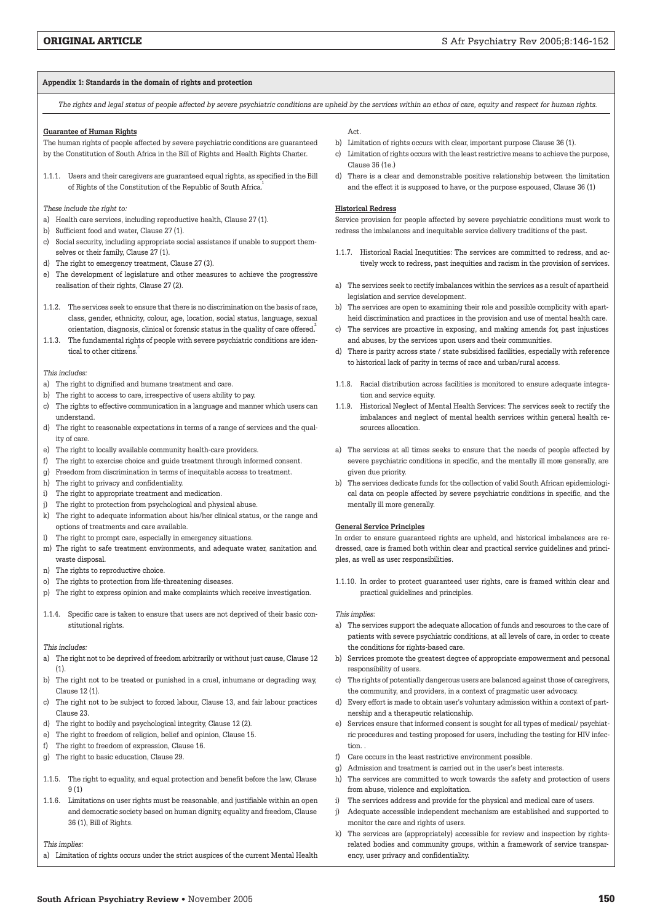# **Appendix 1: Standards in the domain of rights and protection**

*The rights and legal status of people affected by severe psychiatric conditions are upheld by the services within an ethos of care, equity and respect for human rights.*

#### **Guarantee of Human Rights**

The human rights of people affected by severe psychiatric conditions are guaranteed by the Constitution of South Africa in the Bill of Rights and Health Rights Charter.

1.1.1. Users and their caregivers are guaranteed equal rights, as specified in the Bill of Rights of the Constitution of the Republic of South Africa.1

## *These include the right to:*

- a) Health care services, including reproductive health, Clause 27 (1).
- b) Sufficient food and water, Clause 27 (1).
- c) Social security, including appropriate social assistance if unable to support themselves or their family, Clause 27 (1).
- d) The right to emergency treatment, Clause 27 (3).
- e) The development of legislature and other measures to achieve the progressive realisation of their rights, Clause 27 (2).

1.1.2. The services seek to ensure that there is no discrimination on the basis of race, class, gender, ethnicity, colour, age, location, social status, language, sexual orientation, diagnosis, clinical or forensic status in the quality of care offered.<sup>2</sup>

1.1.3. The fundamental rights of people with severe psychiatric conditions are identical to other citizens.

#### *This includes:*

- a) The right to dignified and humane treatment and care.
- b) The right to access to care, irrespective of users ability to pay.
- c) The rights to effective communication in a language and manner which users can understand.
- d) The right to reasonable expectations in terms of a range of services and the quality of care.
- e) The right to locally available community health-care providers.
- f) The right to exercise choice and guide treatment through informed consent.
- g) Freedom from discrimination in terms of inequitable access to treatment.
- h) The right to privacy and confidentiality.
- i) The right to appropriate treatment and medication.
- j) The right to protection from psychological and physical abuse.
- k) The right to adequate information about his/her clinical status, or the range and options of treatments and care available.
- l) The right to prompt care, especially in emergency situations.
- m) The right to safe treatment environments, and adequate water, sanitation and waste disposal.
- n) The rights to reproductive choice.
- o) The rights to protection from life-threatening diseases.
- p) The right to express opinion and make complaints which receive investigation.
- 1.1.4. Specific care is taken to ensure that users are not deprived of their basic constitutional rights.

#### *This includes:*

- a) The right not to be deprived of freedom arbitrarily or without just cause, Clause 12  $(1)$
- b) The right not to be treated or punished in a cruel, inhumane or degrading way, Clause 12 (1).
- c) The right not to be subject to forced labour, Clause 13, and fair labour practices Clause 23.
- d) The right to bodily and psychological integrity, Clause 12 (2).
- e) The right to freedom of religion, belief and opinion, Clause 15.
- f) The right to freedom of expression, Clause 16.
- g) The right to basic education, Clause 29.
- 1.1.5. The right to equality, and equal protection and benefit before the law, Clause 9 (1)
- 1.1.6. Limitations on user rights must be reasonable, and justifiable within an open and democratic society based on human dignity, equality and freedom, Clause 36 (1), Bill of Rights.

#### *This implies:*

a) Limitation of rights occurs under the strict auspices of the current Mental Health

#### Act.

- b) Limitation of rights occurs with clear, important purpose Clause 36 (1).
- c) Limitation of rights occurs with the least restrictive means to achieve the purpose, Clause 36 (1e.)
- d) There is a clear and demonstrable positive relationship between the limitation and the effect it is supposed to have, or the purpose espoused, Clause 36 (1)

#### **Historical Redress**

Service provision for people affected by severe psychiatric conditions must work to redress the imbalances and inequitable service delivery traditions of the past.

- 1.1.7. Historical Racial Inequtities: The services are committed to redress, and actively work to redress, past inequities and racism in the provision of services.
- a) The services seek to rectify imbalances within the services as a result of apartheid legislation and service development.
- b) The services are open to examining their role and possible complicity with apartheid discrimination and practices in the provision and use of mental health care.
- c) The services are proactive in exposing, and making amends for, past injustices and abuses, by the services upon users and their communities.
- d) There is parity across state / state subsidised facilities, especially with reference to historical lack of parity in terms of race and urban/rural access.
- 1.1.8. Racial distribution across facilities is monitored to ensure adequate integration and service equity.
- 1.1.9. Historical Neglect of Mental Health Services: The services seek to rectify the imbalances and neglect of mental health services within general health resources allocation.
- a) The services at all times seeks to ensure that the needs of people affected by severe psychiatric conditions in specific, and the mentally ill more generally, are given due priority.
- b) The services dedicate funds for the collection of valid South African epidemiological data on people affected by severe psychiatric conditions in specific, and the mentally ill more generally.

# **General Service Principles**

In order to ensure guaranteed rights are upheld, and historical imbalances are redressed, care is framed both within clear and practical service guidelines and principles, as well as user responsibilities.

1.1.10. In order to protect guaranteed user rights, care is framed within clear and practical guidelines and principles.

#### *This implies:*

- a) The services support the adequate allocation of funds and resources to the care of patients with severe psychiatric conditions, at all levels of care, in order to create the conditions for rights-based care.
- b) Services promote the greatest degree of appropriate empowerment and personal regnonsibility of users.
- c) The rights of potentially dangerous users are balanced against those of caregivers, the community, and providers, in a context of pragmatic user advocacy.
- d) Every effort is made to obtain user's voluntary admission within a context of partnership and a therapeutic relationship.
- e) Services ensure that informed consent is sought for all types of medical/ psychiatric procedures and testing proposed for users, including the testing for HIV infection. .
- f) Care occurs in the least restrictive environment possible.
- g) Admission and treatment is carried out in the user's best interests.
- h) The services are committed to work towards the safety and protection of users from abuse, violence and exploitation.
- i) The services address and provide for the physical and medical care of users.
- j) Adequate accessible independent mechanism are established and supported to monitor the care and rights of users.
- k) The services are (appropriately) accessible for review and inspection by rightsrelated bodies and community groups, within a framework of service transparency, user privacy and confidentiality.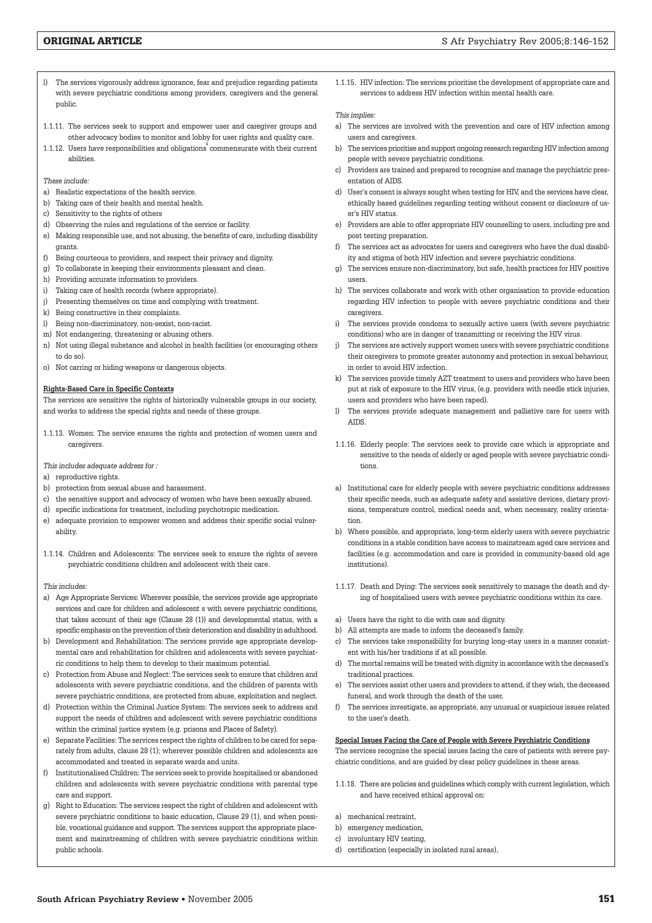- l) The services vigorously address ignorance, fear and prejudice regarding patients with severe psychiatric conditions among providers, caregivers and the general public.
- 1.1.11. The services seek to support and empower user and caregiver groups and other advocacy bodies to monitor and lobby for user rights and quality care.
- 1.1.12. Users have responsibilities and obligations $\overline{\phantom{a}^4}$  commensurate with their current abilities.

## *These include:*

- a) Realistic expectations of the health service.
- b) Taking care of their health and mental health.
- c) Sensitivity to the rights of others
- d) Observing the rules and regulations of the service or facility.
- e) Making responsible use, and not abusing, the benefits of care, including disability grants.
- f) Being courteous to providers, and respect their privacy and dignity.
- g) To collaborate in keeping their environments pleasant and clean.
- h) Providing accurate information to providers.
- i) Taking care of health records (where appropriate).
- j) Presenting themselves on time and complying with treatment.
- k) Being constructive in their complaints.
- l) Being non-discriminatory, non-sexist, non-racist.
- m) Not endangering, threatening or abusing others.
- n) Not using illegal substance and alcohol in health facilities (or encouraging others to do so).
- o) Not carring or hiding weapons or dangerous objects.

### **Rights-Based Care in Specific Contexts**

The services are sensitive the rights of historically vulnerable groups in our society, and works to address the special rights and needs of these groups.

1.1.13. Women: The service ensures the rights and protection of women users and caregivers.

*This includes adequate address for :*

- a) reproductive rights.
- b) protection from sexual abuse and harassment.
- c) the sensitive support and advocacy of women who have been sexually abused.
- d) specific indications for treatment, including psychotropic medication.
- e) adequate provision to empower women and address their specific social vulnerability.
- 1.1.14. Children and Adolescents: The services seek to ensure the rights of severe psychiatric conditions children and adolescent with their care.

*This includes:*

- a) Age Appropriate Services: Wherever possible, the services provide age appropriate services and care for children and adolescent s with severe psychiatric conditions, that takes account of their age (Clause 28 (1)) and developmental status, with a specific emphasis on the prevention of their deterioration and disability in adulthood.
- b) Development and Rehabilitation: The services provide age appropriate developmental care and rehabilitation for children and adolescents with severe psychiatric conditions to help them to develop to their maximum potential.
- c) Protection from Abuse and Neglect: The services seek to ensure that children and adolescents with severe psychiatric conditions, and the children of parents with severe psychiatric conditions, are protected from abuse, exploitation and neglect.
- d) Protection within the Criminal Justice System: The services seek to address and support the needs of children and adolescent with severe psychiatric conditions within the criminal justice system (e.g. prisons and Places of Safety).
- e) Separate Facilities: The services respect the rights of children to be cared for separately from adults, clause 28 (1); wherever possible children and adolescents are accommodated and treated in separate wards and units.
- f) Institutionalised Children: The services seek to provide hospitalised or abandoned children and adolescents with severe psychiatric conditions with parental type care and support.
- g) Right to Education: The services respect the right of children and adolescent with severe psychiatric conditions to basic education, Clause 29 (1), and when possible, vocational guidance and support. The services support the appropriate placement and mainstreaming of children with severe psychiatric conditions within public schools.

1.1.15. HIV infection: The services prioritise the development of appropriate care and services to address HIV infection within mental health care.

# *This implies:*

- a) The services are involved with the prevention and care of HIV infection among users and caregivers.
- b) The services prioritise and support ongoing research regarding HIV infection among people with severe psychiatric conditions.
- c) Providers are trained and prepared to recognise and manage the psychiatric presentation of AIDS.
- d) User's consent is always sought when testing for HIV, and the services have clear, ethically based guidelines regarding testing without consent or disclosure of user's HIV status.
- e) Providers are able to offer appropriate HIV counselling to users, including pre and post testing preparation.
- f) The services act as advocates for users and caregivers who have the dual disability and stigma of both HIV infection and severe psychiatric conditions.
- g) The services ensure non-discriminatory, but safe, health practices for HIV positive users.
- h) The services collaborate and work with other organisation to provide education regarding HIV infection to people with severe psychiatric conditions and their caregivers.
- i) The services provide condoms to sexually active users (with severe psychiatric conditions) who are in danger of transmitting or receiving the HIV virus.
- j) The services are actively support women users with severe psychiatric conditions their caregivers to promote greater autonomy and protection in sexual behaviour, in order to avoid HIV infection.
- k) The services provide timely AZT treatment to users and providers who have been put at risk of exposure to the HIV virus, (e.g. providers with needle stick injuries, users and providers who have been raped).
- l) The services provide adequate management and palliative care for users with AIDS.
- 1.1.16. Elderly people: The services seek to provide care which is appropriate and sensitive to the needs of elderly or aged people with severe psychiatric conditions.
- a) Institutional care for elderly people with severe psychiatric conditions addresses their specific needs, such as adequate safety and assistive devices, dietary provisions, temperature control, medical needs and, when necessary, reality orientation.
- b) Where possible, and appropriate, long-term elderly users with severe psychiatric conditions in a stable condition have access to mainstream aged care services and facilities (e.g. accommodation and care is provided in community-based old age institutions).
- 1.1.17. Death and Dying: The services seek sensitively to manage the death and dying of hospitalised users with severe psychiatric conditions within its care.
- a) Users have the right to die with care and dignity.
- b) All attempts are made to inform the deceased's family.
- c) The services take responsibility for burying long-stay users in a manner consistent with his/her traditions if at all possible.
- d) The mortal remains will be treated with dignity in accordance with the deceased's traditional practices.
- e) The services assist other users and providers to attend, if they wish, the deceased funeral, and work through the death of the user.
- f) The services investigate, as appropriate, any unusual or suspicious issues related to the user's death.

# **Special Issues Facing the Care of People with Severe Psychiatric Conditions**

The services recognise the special issues facing the care of patients with severe psychiatric conditions, and are guided by clear policy guidelines in these areas.

- 1.1.18. There are policies and guidelines which comply with current legislation, which and have received ethical approval on:
- a) mechanical restraint,
- b) emergency medication,
- c) involuntary HIV testing,
- d) certification (especially in isolated rural areas),